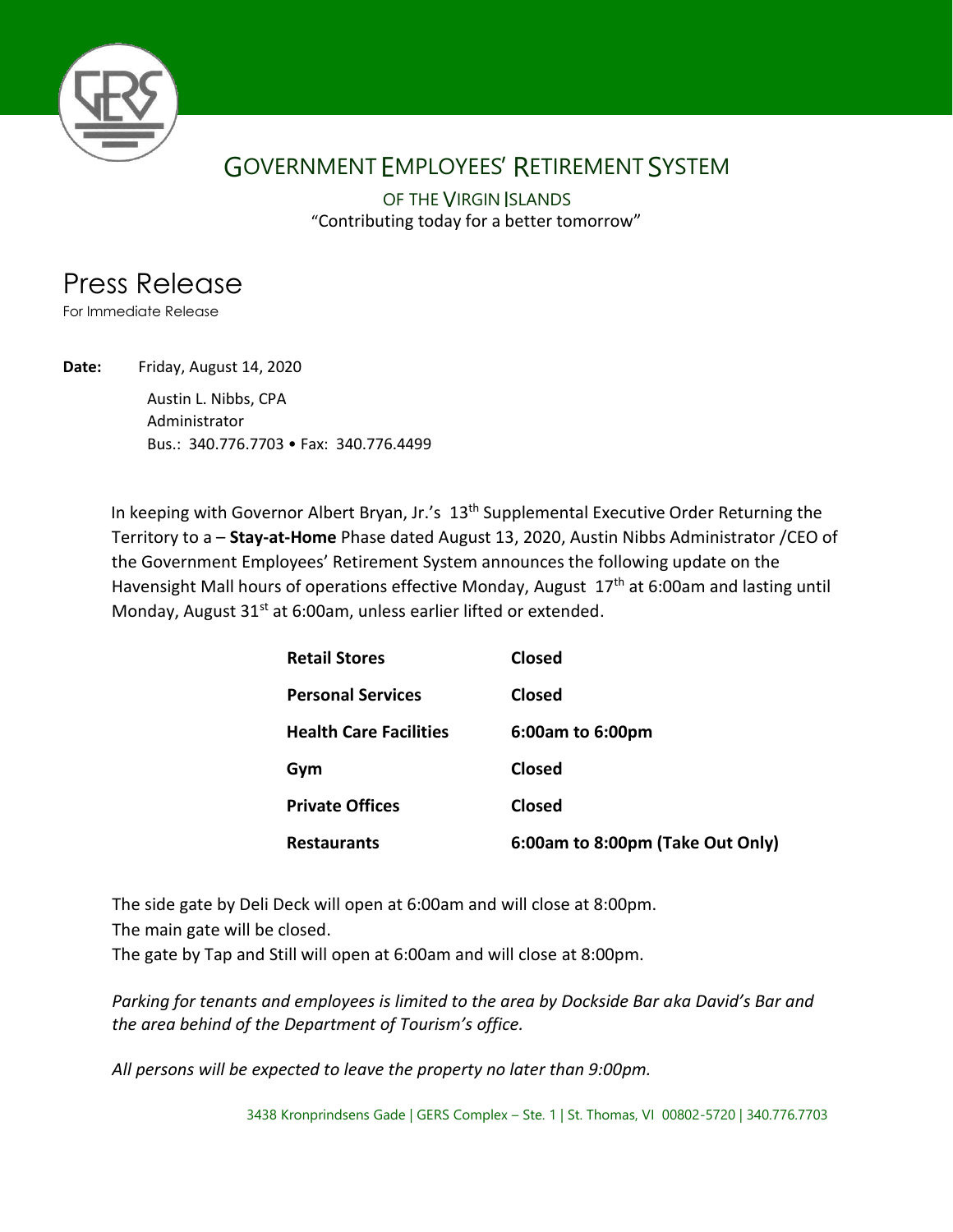

## GOVERNMENT EMPLOYEES' RETIREMENT SYSTEM

"Contributing today for a better tomorrow" OF THE VIRGIN ISLANDS

## Press Release

For Immediate Release

**Date:** Friday, August 14, 2020

Austin L. Nibbs, CPA Administrator Bus.: 340.776.7703 • Fax: 340.776.4499

In keeping with Governor Albert Bryan, Jr.'s 13<sup>th</sup> Supplemental Executive Order Returning the Territory to a – **Stay-at-Home** Phase dated August 13, 2020, Austin Nibbs Administrator /CEO of the Government Employees' Retirement System announces the following update on the Havensight Mall hours of operations effective Monday, August 17<sup>th</sup> at 6:00am and lasting until Monday, August 31<sup>st</sup> at 6:00am, unless earlier lifted or extended.

| <b>Retail Stores</b>          | Closed                           |
|-------------------------------|----------------------------------|
| <b>Personal Services</b>      | Closed                           |
| <b>Health Care Facilities</b> | 6:00am to 6:00pm                 |
| Gym                           | Closed                           |
| <b>Private Offices</b>        | <b>Closed</b>                    |
| <b>Restaurants</b>            | 6:00am to 8:00pm (Take Out Only) |

The side gate by Deli Deck will open at 6:00am and will close at 8:00pm.

The main gate will be closed.

The gate by Tap and Still will open at 6:00am and will close at 8:00pm.

*Parking for tenants and employees is limited to the area by Dockside Bar aka David's Bar and the area behind of the Department of Tourism's office.* 

*All persons will be expected to leave the property no later than 9:00pm.* 

3438 Kronprindsens Gade | GERS Complex – Ste. 1 | St. Thomas, VI 00802-5720 | 340.776.7703